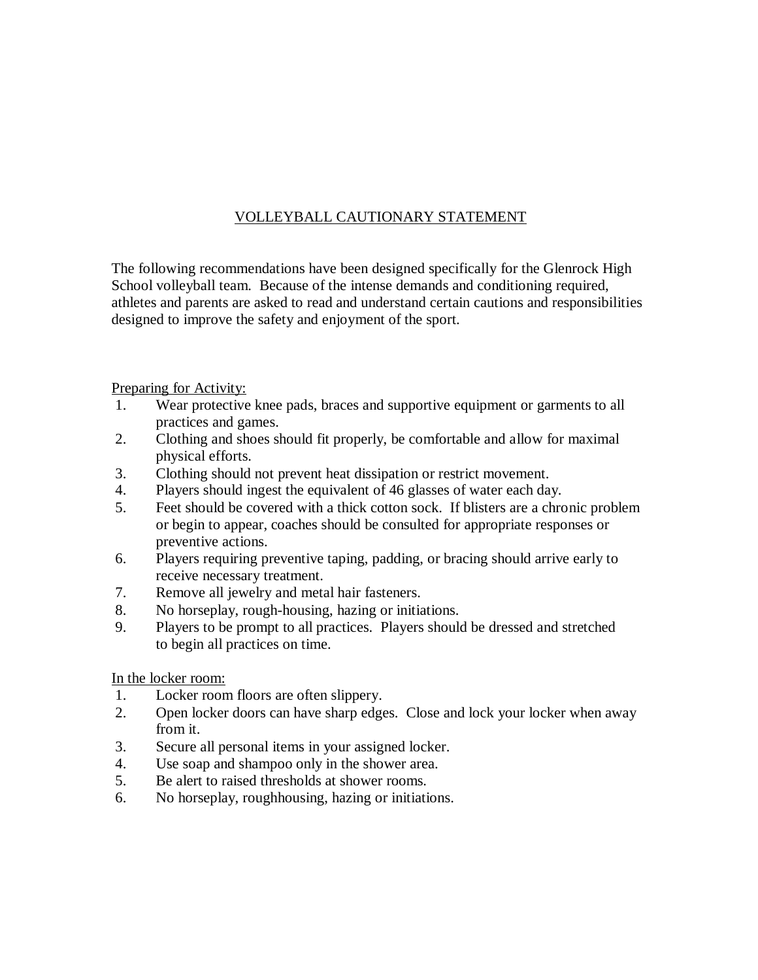## VOLLEYBALL CAUTIONARY STATEMENT

The following recommendations have been designed specifically for the Glenrock High School volleyball team. Because of the intense demands and conditioning required, athletes and parents are asked to read and understand certain cautions and responsibilities designed to improve the safety and enjoyment of the sport.

## Preparing for Activity:

- 1. Wear protective knee pads, braces and supportive equipment or garments to all practices and games.
- 2. Clothing and shoes should fit properly, be comfortable and allow for maximal physical efforts.
- 3. Clothing should not prevent heat dissipation or restrict movement.
- 4. Players should ingest the equivalent of 46 glasses of water each day.
- 5. Feet should be covered with a thick cotton sock. If blisters are a chronic problem or begin to appear, coaches should be consulted for appropriate responses or preventive actions.
- 6. Players requiring preventive taping, padding, or bracing should arrive early to receive necessary treatment.
- 7. Remove all jewelry and metal hair fasteners.
- 8. No horseplay, rough-housing, hazing or initiations.
- 9. Players to be prompt to all practices. Players should be dressed and stretched to begin all practices on time.

In the locker room:

- 1. Locker room floors are often slippery.
- 2. Open locker doors can have sharp edges. Close and lock your locker when away from it.
- 3. Secure all personal items in your assigned locker.
- 4. Use soap and shampoo only in the shower area.
- 5. Be alert to raised thresholds at shower rooms.
- 6. No horseplay, roughhousing, hazing or initiations.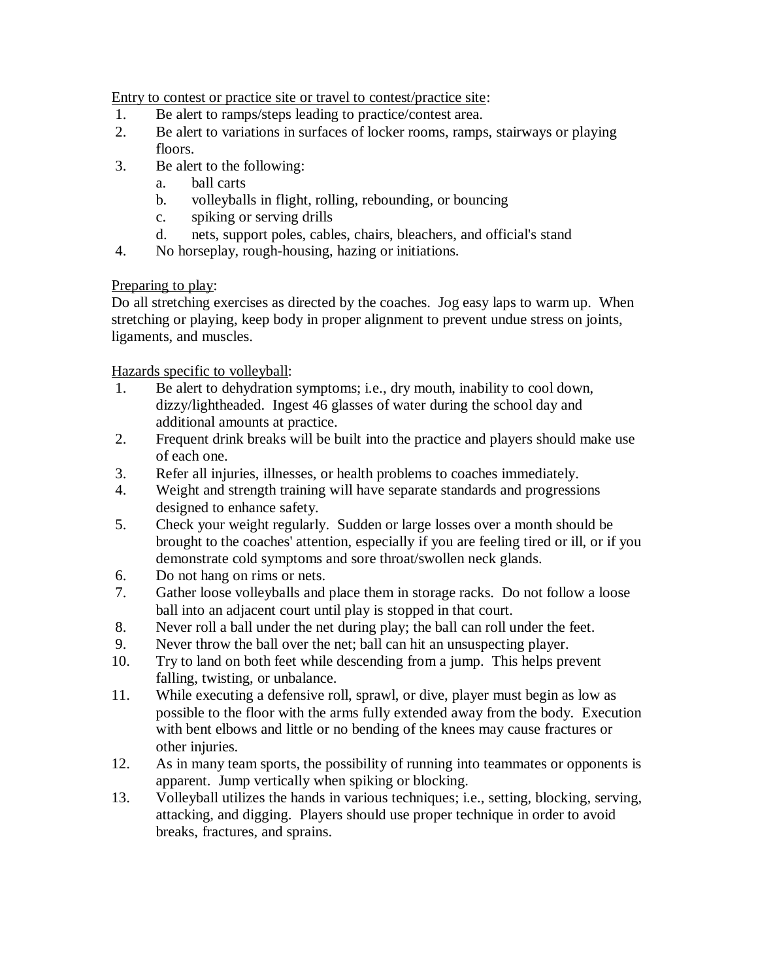Entry to contest or practice site or travel to contest/practice site:

- 1. Be alert to ramps/steps leading to practice/contest area.
- 2. Be alert to variations in surfaces of locker rooms, ramps, stairways or playing floors.
- 3. Be alert to the following:
	- a. ball carts
	- b. volleyballs in flight, rolling, rebounding, or bouncing
	- c. spiking or serving drills
	- d. nets, support poles, cables, chairs, bleachers, and official's stand
- 4. No horseplay, rough-housing, hazing or initiations.

Preparing to play:

Do all stretching exercises as directed by the coaches. Jog easy laps to warm up. When stretching or playing, keep body in proper alignment to prevent undue stress on joints, ligaments, and muscles.

Hazards specific to volleyball:

- 1. Be alert to dehydration symptoms; i.e., dry mouth, inability to cool down, dizzy/lightheaded. Ingest 46 glasses of water during the school day and additional amounts at practice.
- 2. Frequent drink breaks will be built into the practice and players should make use of each one.
- 3. Refer all injuries, illnesses, or health problems to coaches immediately.
- 4. Weight and strength training will have separate standards and progressions designed to enhance safety.
- 5. Check your weight regularly. Sudden or large losses over a month should be brought to the coaches' attention, especially if you are feeling tired or ill, or if you demonstrate cold symptoms and sore throat/swollen neck glands.
- 6. Do not hang on rims or nets.
- 7. Gather loose volleyballs and place them in storage racks. Do not follow a loose ball into an adjacent court until play is stopped in that court.
- 8. Never roll a ball under the net during play; the ball can roll under the feet.
- 9. Never throw the ball over the net; ball can hit an unsuspecting player.
- 10. Try to land on both feet while descending from a jump. This helps prevent falling, twisting, or unbalance.
- 11. While executing a defensive roll, sprawl, or dive, player must begin as low as possible to the floor with the arms fully extended away from the body. Execution with bent elbows and little or no bending of the knees may cause fractures or other injuries.
- 12. As in many team sports, the possibility of running into teammates or opponents is apparent. Jump vertically when spiking or blocking.
- 13. Volleyball utilizes the hands in various techniques; i.e., setting, blocking, serving, attacking, and digging. Players should use proper technique in order to avoid breaks, fractures, and sprains.